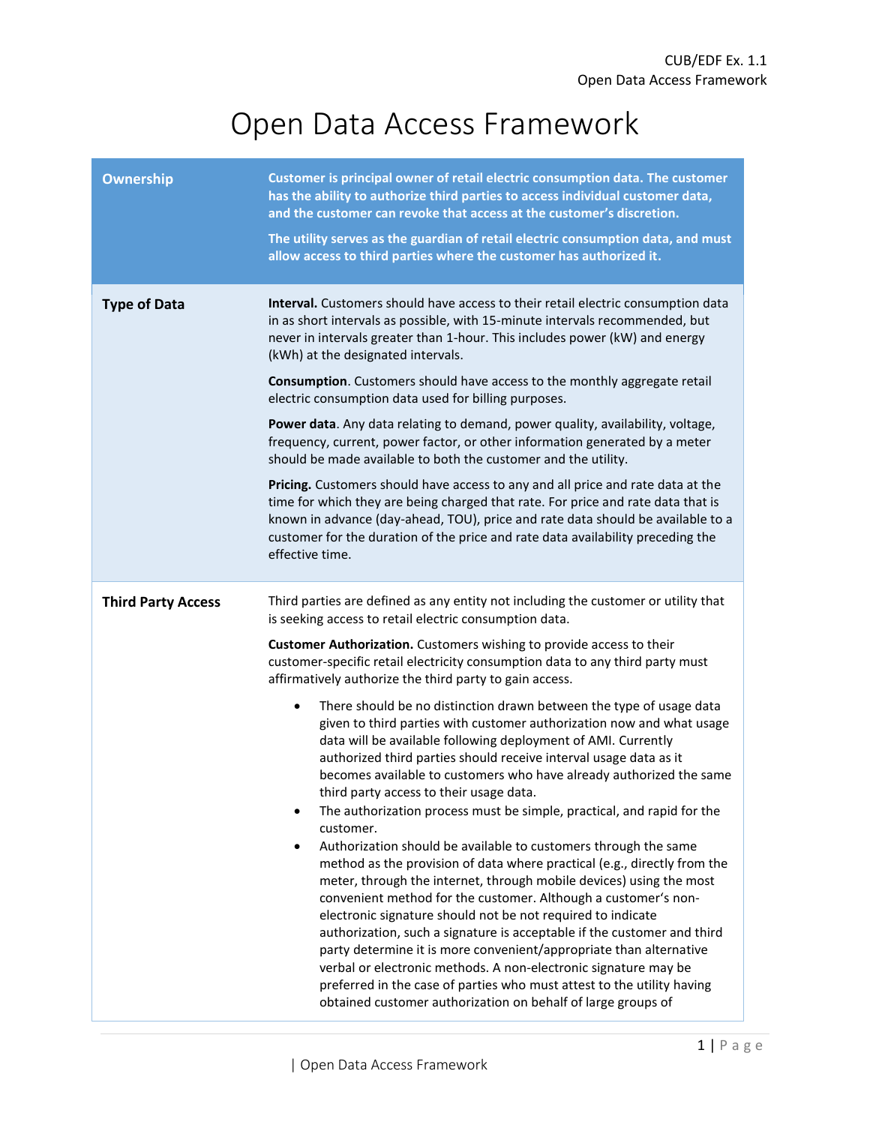## Open Data Access Framework

| <b>Ownership</b>          | Customer is principal owner of retail electric consumption data. The customer<br>has the ability to authorize third parties to access individual customer data,<br>and the customer can revoke that access at the customer's discretion.<br>The utility serves as the guardian of retail electric consumption data, and must<br>allow access to third parties where the customer has authorized it.                                                                                                                                                                                                                                                                                                                                                                                                                                                                                                                                                                                                                                                                                                                                                                                                                             |
|---------------------------|---------------------------------------------------------------------------------------------------------------------------------------------------------------------------------------------------------------------------------------------------------------------------------------------------------------------------------------------------------------------------------------------------------------------------------------------------------------------------------------------------------------------------------------------------------------------------------------------------------------------------------------------------------------------------------------------------------------------------------------------------------------------------------------------------------------------------------------------------------------------------------------------------------------------------------------------------------------------------------------------------------------------------------------------------------------------------------------------------------------------------------------------------------------------------------------------------------------------------------|
| <b>Type of Data</b>       | Interval. Customers should have access to their retail electric consumption data<br>in as short intervals as possible, with 15-minute intervals recommended, but<br>never in intervals greater than 1-hour. This includes power (kW) and energy<br>(kWh) at the designated intervals.                                                                                                                                                                                                                                                                                                                                                                                                                                                                                                                                                                                                                                                                                                                                                                                                                                                                                                                                           |
|                           | Consumption. Customers should have access to the monthly aggregate retail<br>electric consumption data used for billing purposes.                                                                                                                                                                                                                                                                                                                                                                                                                                                                                                                                                                                                                                                                                                                                                                                                                                                                                                                                                                                                                                                                                               |
|                           | Power data. Any data relating to demand, power quality, availability, voltage,<br>frequency, current, power factor, or other information generated by a meter<br>should be made available to both the customer and the utility.                                                                                                                                                                                                                                                                                                                                                                                                                                                                                                                                                                                                                                                                                                                                                                                                                                                                                                                                                                                                 |
|                           | Pricing. Customers should have access to any and all price and rate data at the<br>time for which they are being charged that rate. For price and rate data that is<br>known in advance (day-ahead, TOU), price and rate data should be available to a<br>customer for the duration of the price and rate data availability preceding the<br>effective time.                                                                                                                                                                                                                                                                                                                                                                                                                                                                                                                                                                                                                                                                                                                                                                                                                                                                    |
| <b>Third Party Access</b> | Third parties are defined as any entity not including the customer or utility that<br>is seeking access to retail electric consumption data.                                                                                                                                                                                                                                                                                                                                                                                                                                                                                                                                                                                                                                                                                                                                                                                                                                                                                                                                                                                                                                                                                    |
|                           | Customer Authorization. Customers wishing to provide access to their<br>customer-specific retail electricity consumption data to any third party must<br>affirmatively authorize the third party to gain access.                                                                                                                                                                                                                                                                                                                                                                                                                                                                                                                                                                                                                                                                                                                                                                                                                                                                                                                                                                                                                |
|                           | There should be no distinction drawn between the type of usage data<br>٠<br>given to third parties with customer authorization now and what usage<br>data will be available following deployment of AMI. Currently<br>authorized third parties should receive interval usage data as it<br>becomes available to customers who have already authorized the same<br>third party access to their usage data.<br>The authorization process must be simple, practical, and rapid for the<br>٠<br>customer.<br>Authorization should be available to customers through the same<br>٠<br>method as the provision of data where practical (e.g., directly from the<br>meter, through the internet, through mobile devices) using the most<br>convenient method for the customer. Although a customer's non-<br>electronic signature should not be not required to indicate<br>authorization, such a signature is acceptable if the customer and third<br>party determine it is more convenient/appropriate than alternative<br>verbal or electronic methods. A non-electronic signature may be<br>preferred in the case of parties who must attest to the utility having<br>obtained customer authorization on behalf of large groups of |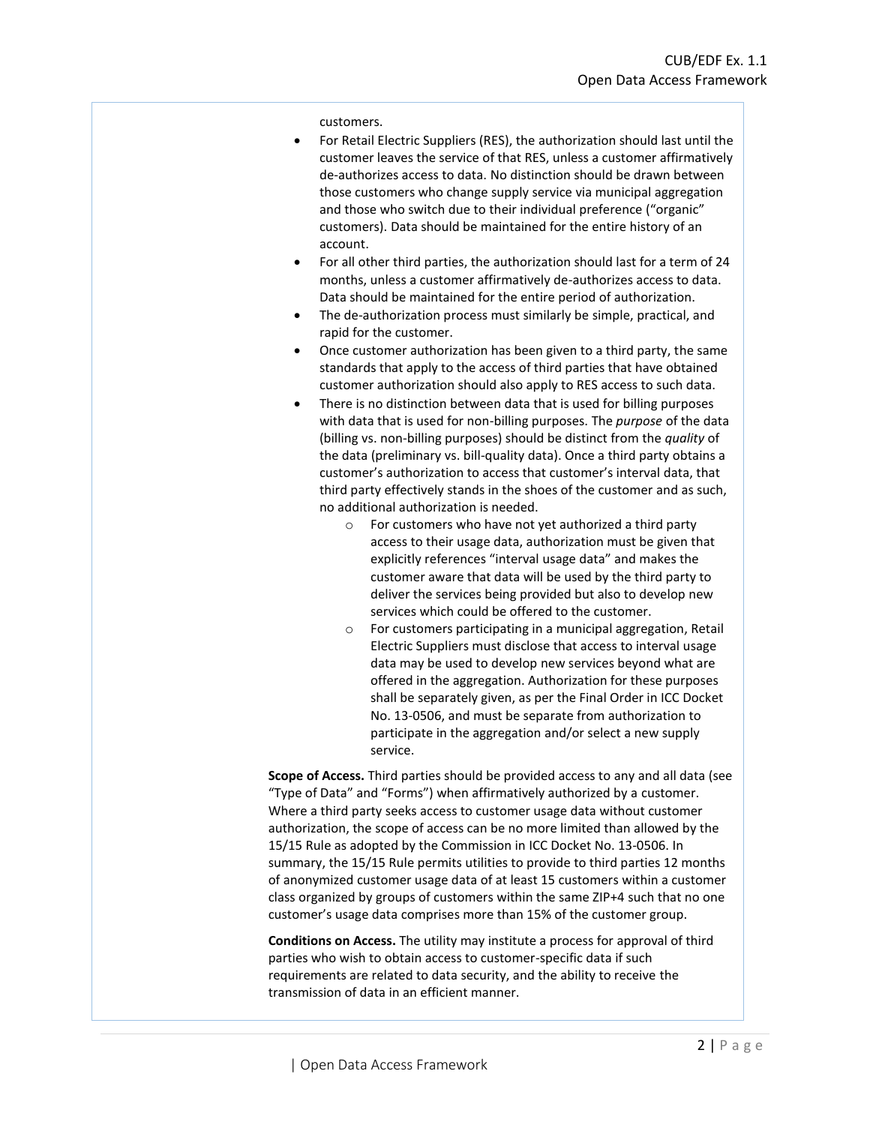customers.

- For Retail Electric Suppliers (RES), the authorization should last until the customer leaves the service of that RES, unless a customer affirmatively de-authorizes access to data. No distinction should be drawn between those customers who change supply service via municipal aggregation and those who switch due to their individual preference ("organic" customers). Data should be maintained for the entire history of an account.
- For all other third parties, the authorization should last for a term of 24 months, unless a customer affirmatively de-authorizes access to data. Data should be maintained for the entire period of authorization.
- The de-authorization process must similarly be simple, practical, and rapid for the customer.
- Once customer authorization has been given to a third party, the same standards that apply to the access of third parties that have obtained customer authorization should also apply to RES access to such data.
- There is no distinction between data that is used for billing purposes with data that is used for non-billing purposes. The *purpose* of the data (billing vs. non-billing purposes) should be distinct from the *quality* of the data (preliminary vs. bill-quality data). Once a third party obtains a customer's authorization to access that customer's interval data, that third party effectively stands in the shoes of the customer and as such, no additional authorization is needed.
	- o For customers who have not yet authorized a third party access to their usage data, authorization must be given that explicitly references "interval usage data" and makes the customer aware that data will be used by the third party to deliver the services being provided but also to develop new services which could be offered to the customer.
	- o For customers participating in a municipal aggregation, Retail Electric Suppliers must disclose that access to interval usage data may be used to develop new services beyond what are offered in the aggregation. Authorization for these purposes shall be separately given, as per the Final Order in ICC Docket No. 13-0506, and must be separate from authorization to participate in the aggregation and/or select a new supply service.

**Scope of Access.** Third parties should be provided access to any and all data (see "Type of Data" and "Forms") when affirmatively authorized by a customer. Where a third party seeks access to customer usage data without customer authorization, the scope of access can be no more limited than allowed by the 15/15 Rule as adopted by the Commission in ICC Docket No. 13-0506. In summary, the 15/15 Rule permits utilities to provide to third parties 12 months of anonymized customer usage data of at least 15 customers within a customer class organized by groups of customers within the same ZIP+4 such that no one customer's usage data comprises more than 15% of the customer group.

**Conditions on Access.** The utility may institute a process for approval of third parties who wish to obtain access to customer-specific data if such requirements are related to data security, and the ability to receive the transmission of data in an efficient manner.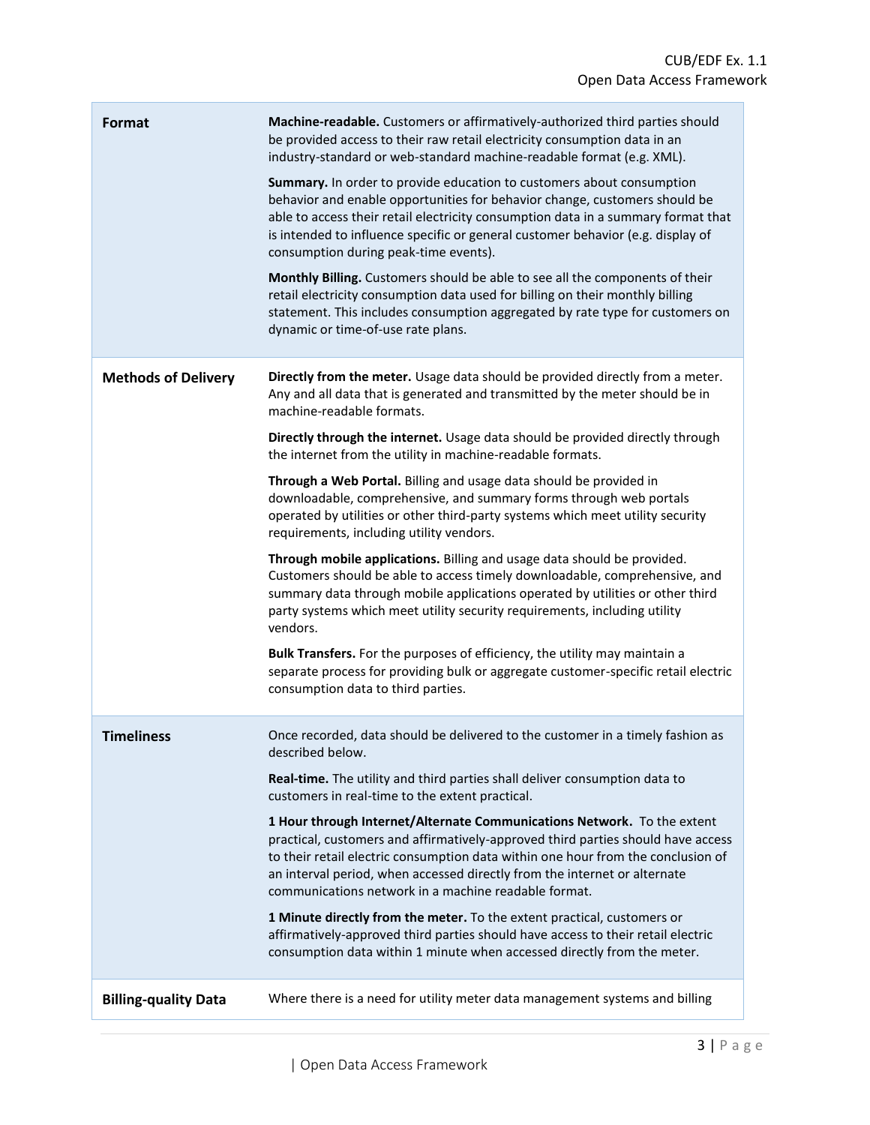ä,

| Format                      | Machine-readable. Customers or affirmatively-authorized third parties should<br>be provided access to their raw retail electricity consumption data in an<br>industry-standard or web-standard machine-readable format (e.g. XML).                                                                                                                                                   |
|-----------------------------|--------------------------------------------------------------------------------------------------------------------------------------------------------------------------------------------------------------------------------------------------------------------------------------------------------------------------------------------------------------------------------------|
|                             | Summary. In order to provide education to customers about consumption<br>behavior and enable opportunities for behavior change, customers should be<br>able to access their retail electricity consumption data in a summary format that<br>is intended to influence specific or general customer behavior (e.g. display of<br>consumption during peak-time events).                 |
|                             | Monthly Billing. Customers should be able to see all the components of their<br>retail electricity consumption data used for billing on their monthly billing<br>statement. This includes consumption aggregated by rate type for customers on<br>dynamic or time-of-use rate plans.                                                                                                 |
| <b>Methods of Delivery</b>  | Directly from the meter. Usage data should be provided directly from a meter.<br>Any and all data that is generated and transmitted by the meter should be in<br>machine-readable formats.                                                                                                                                                                                           |
|                             | Directly through the internet. Usage data should be provided directly through<br>the internet from the utility in machine-readable formats.                                                                                                                                                                                                                                          |
|                             | Through a Web Portal. Billing and usage data should be provided in<br>downloadable, comprehensive, and summary forms through web portals<br>operated by utilities or other third-party systems which meet utility security<br>requirements, including utility vendors.                                                                                                               |
|                             | Through mobile applications. Billing and usage data should be provided.<br>Customers should be able to access timely downloadable, comprehensive, and<br>summary data through mobile applications operated by utilities or other third<br>party systems which meet utility security requirements, including utility<br>vendors.                                                      |
|                             | Bulk Transfers. For the purposes of efficiency, the utility may maintain a<br>separate process for providing bulk or aggregate customer-specific retail electric<br>consumption data to third parties.                                                                                                                                                                               |
| <b>Timeliness</b>           | Once recorded, data should be delivered to the customer in a timely fashion as<br>described below.                                                                                                                                                                                                                                                                                   |
|                             | Real-time. The utility and third parties shall deliver consumption data to<br>customers in real-time to the extent practical.                                                                                                                                                                                                                                                        |
|                             | 1 Hour through Internet/Alternate Communications Network. To the extent<br>practical, customers and affirmatively-approved third parties should have access<br>to their retail electric consumption data within one hour from the conclusion of<br>an interval period, when accessed directly from the internet or alternate<br>communications network in a machine readable format. |
|                             | 1 Minute directly from the meter. To the extent practical, customers or<br>affirmatively-approved third parties should have access to their retail electric<br>consumption data within 1 minute when accessed directly from the meter.                                                                                                                                               |
| <b>Billing-quality Data</b> | Where there is a need for utility meter data management systems and billing                                                                                                                                                                                                                                                                                                          |